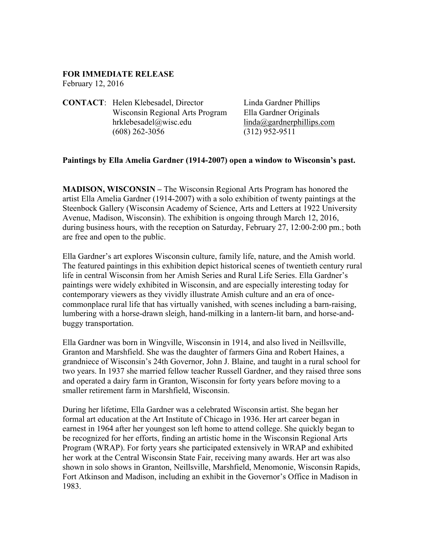## **FOR IMMEDIATE RELEASE**

February 12, 2016

**CONTACT**: Helen Klebesadel, Director Linda Gardner Phillips Wisconsin Regional Arts Program Ella Gardner Originals hrklebesadel@wisc.edu linda@gardnerphillips.com (608) 262-3056 (312) 952-9511

## **Paintings by Ella Amelia Gardner (1914-2007) open a window to Wisconsin's past.**

**MADISON, WISCONSIN –** The Wisconsin Regional Arts Program has honored the artist Ella Amelia Gardner (1914-2007) with a solo exhibition of twenty paintings at the Steenbock Gallery (Wisconsin Academy of Science, Arts and Letters at 1922 University Avenue, Madison, Wisconsin). The exhibition is ongoing through March 12, 2016, during business hours, with the reception on Saturday, February 27, 12:00-2:00 pm.; both are free and open to the public.

Ella Gardner's art explores Wisconsin culture, family life, nature, and the Amish world. The featured paintings in this exhibition depict historical scenes of twentieth century rural life in central Wisconsin from her Amish Series and Rural Life Series. Ella Gardner's paintings were widely exhibited in Wisconsin, and are especially interesting today for contemporary viewers as they vividly illustrate Amish culture and an era of oncecommonplace rural life that has virtually vanished, with scenes including a barn-raising, lumbering with a horse-drawn sleigh, hand-milking in a lantern-lit barn, and horse-andbuggy transportation.

Ella Gardner was born in Wingville, Wisconsin in 1914, and also lived in Neillsville, Granton and Marshfield. She was the daughter of farmers Gina and Robert Haines, a grandniece of Wisconsin's 24th Governor, John J. Blaine, and taught in a rural school for two years. In 1937 she married fellow teacher Russell Gardner, and they raised three sons and operated a dairy farm in Granton, Wisconsin for forty years before moving to a smaller retirement farm in Marshfield, Wisconsin.

During her lifetime, Ella Gardner was a celebrated Wisconsin artist. She began her formal art education at the Art Institute of Chicago in 1936. Her art career began in earnest in 1964 after her youngest son left home to attend college. She quickly began to be recognized for her efforts, finding an artistic home in the Wisconsin Regional Arts Program (WRAP). For forty years she participated extensively in WRAP and exhibited her work at the Central Wisconsin State Fair, receiving many awards. Her art was also shown in solo shows in Granton, Neillsville, Marshfield, Menomonie, Wisconsin Rapids, Fort Atkinson and Madison, including an exhibit in the Governor's Office in Madison in 1983.